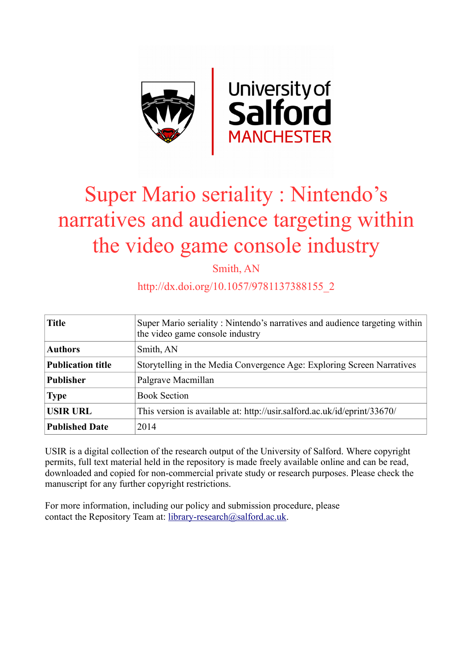

# Super Mario seriality : Nintendo's narratives and audience targeting within the video game console industry

Smith, AN

http://dx.doi.org/10.1057/9781137388155\_2

| <b>Title</b>             | Super Mario seriality: Nintendo's narratives and audience targeting within<br>the video game console industry |
|--------------------------|---------------------------------------------------------------------------------------------------------------|
| <b>Authors</b>           | Smith, AN                                                                                                     |
| <b>Publication title</b> | Storytelling in the Media Convergence Age: Exploring Screen Narratives                                        |
| <b>Publisher</b>         | Palgrave Macmillan                                                                                            |
| <b>Type</b>              | <b>Book Section</b>                                                                                           |
| <b>USIR URL</b>          | This version is available at: http://usir.salford.ac.uk/id/eprint/33670/                                      |
| <b>Published Date</b>    | 2014                                                                                                          |

USIR is a digital collection of the research output of the University of Salford. Where copyright permits, full text material held in the repository is made freely available online and can be read, downloaded and copied for non-commercial private study or research purposes. Please check the manuscript for any further copyright restrictions.

For more information, including our policy and submission procedure, please contact the Repository Team at: [library-research@salford.ac.uk.](mailto:library-research@salford.ac.uk)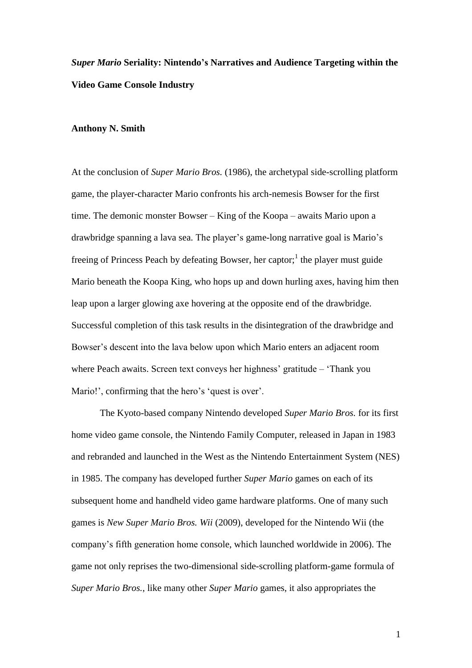# *Super Mario* **Seriality: Nintendo's Narratives and Audience Targeting within the Video Game Console Industry**

# **Anthony N. Smith**

At the conclusion of *Super Mario Bros.* (1986), the archetypal side-scrolling platform game, the player-character Mario confronts his arch-nemesis Bowser for the first time. The demonic monster Bowser – King of the Koopa – awaits Mario upon a drawbridge spanning a lava sea. The player's game-long narrative goal is Mario's freeing of Princess Peach by defeating Bowser, her captor;<sup>1</sup> the player must guide Mario beneath the Koopa King, who hops up and down hurling axes, having him then leap upon a larger glowing axe hovering at the opposite end of the drawbridge. Successful completion of this task results in the disintegration of the drawbridge and Bowser's descent into the lava below upon which Mario enters an adjacent room where Peach awaits. Screen text conveys her highness' gratitude – 'Thank you Mario!', confirming that the hero's 'quest is over'.

The Kyoto-based company Nintendo developed *Super Mario Bros.* for its first home video game console, the Nintendo Family Computer, released in Japan in 1983 and rebranded and launched in the West as the Nintendo Entertainment System (NES) in 1985. The company has developed further *Super Mario* games on each of its subsequent home and handheld video game hardware platforms. One of many such games is *New Super Mario Bros. Wii* (2009), developed for the Nintendo Wii (the company's fifth generation home console, which launched worldwide in 2006). The game not only reprises the two-dimensional side-scrolling platform-game formula of *Super Mario Bros.*, like many other *Super Mario* games, it also appropriates the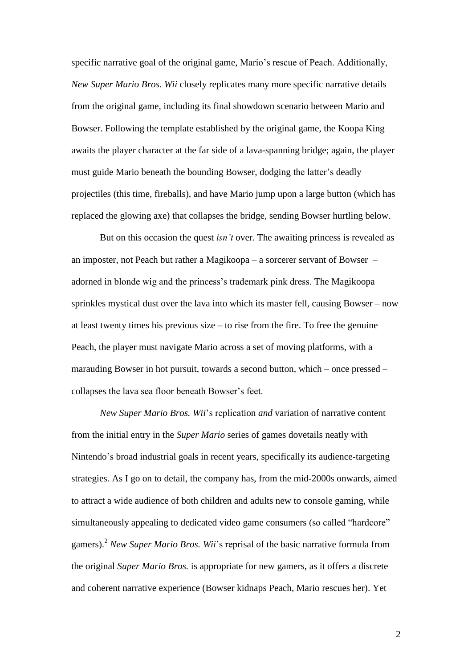specific narrative goal of the original game, Mario's rescue of Peach. Additionally, *New Super Mario Bros. Wii* closely replicates many more specific narrative details from the original game, including its final showdown scenario between Mario and Bowser. Following the template established by the original game, the Koopa King awaits the player character at the far side of a lava-spanning bridge; again, the player must guide Mario beneath the bounding Bowser, dodging the latter's deadly projectiles (this time, fireballs), and have Mario jump upon a large button (which has replaced the glowing axe) that collapses the bridge, sending Bowser hurtling below.

But on this occasion the quest *isn't* over. The awaiting princess is revealed as an imposter, not Peach but rather a Magikoopa – a sorcerer servant of Bowser – adorned in blonde wig and the princess's trademark pink dress. The Magikoopa sprinkles mystical dust over the lava into which its master fell, causing Bowser – now at least twenty times his previous size – to rise from the fire. To free the genuine Peach, the player must navigate Mario across a set of moving platforms, with a marauding Bowser in hot pursuit, towards a second button, which – once pressed – collapses the lava sea floor beneath Bowser's feet.

*New Super Mario Bros. Wii*'s replication *and* variation of narrative content from the initial entry in the *Super Mario* series of games dovetails neatly with Nintendo's broad industrial goals in recent years, specifically its audience-targeting strategies. As I go on to detail, the company has, from the mid-2000s onwards, aimed to attract a wide audience of both children and adults new to console gaming, while simultaneously appealing to dedicated video game consumers (so called "hardcore" gamers). <sup>2</sup> *New Super Mario Bros. Wii*'s reprisal of the basic narrative formula from the original *Super Mario Bros.* is appropriate for new gamers, as it offers a discrete and coherent narrative experience (Bowser kidnaps Peach, Mario rescues her). Yet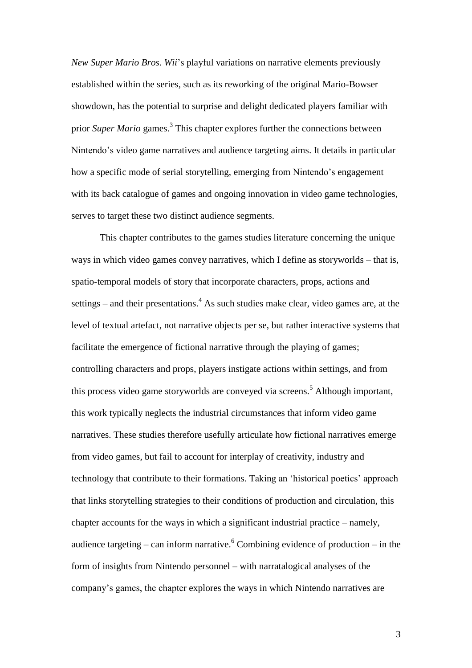*New Super Mario Bros. Wii*'s playful variations on narrative elements previously established within the series, such as its reworking of the original Mario-Bowser showdown, has the potential to surprise and delight dedicated players familiar with prior *Super Mario* games.<sup>3</sup> This chapter explores further the connections between Nintendo's video game narratives and audience targeting aims. It details in particular how a specific mode of serial storytelling, emerging from Nintendo's engagement with its back catalogue of games and ongoing innovation in video game technologies, serves to target these two distinct audience segments.

This chapter contributes to the games studies literature concerning the unique ways in which video games convey narratives, which I define as storyworlds – that is, spatio-temporal models of story that incorporate characters, props, actions and settings – and their presentations.<sup>4</sup> As such studies make clear, video games are, at the level of textual artefact, not narrative objects per se, but rather interactive systems that facilitate the emergence of fictional narrative through the playing of games; controlling characters and props, players instigate actions within settings, and from this process video game storyworlds are conveyed via screens.<sup>5</sup> Although important, this work typically neglects the industrial circumstances that inform video game narratives. These studies therefore usefully articulate how fictional narratives emerge from video games, but fail to account for interplay of creativity, industry and technology that contribute to their formations. Taking an 'historical poetics' approach that links storytelling strategies to their conditions of production and circulation, this chapter accounts for the ways in which a significant industrial practice – namely, audience targeting – can inform narrative.<sup>6</sup> Combining evidence of production – in the form of insights from Nintendo personnel – with narratalogical analyses of the company's games, the chapter explores the ways in which Nintendo narratives are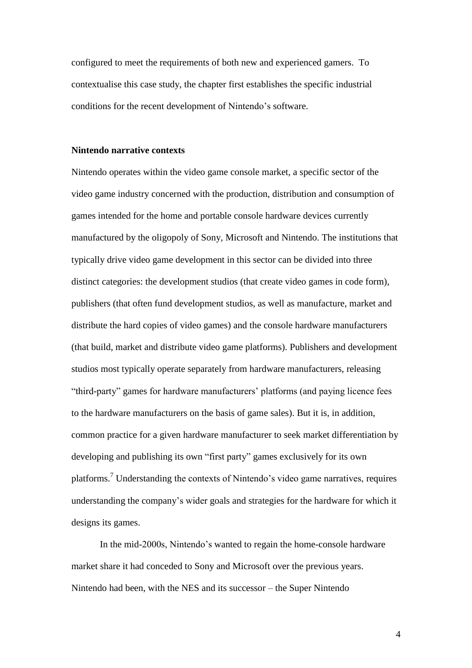configured to meet the requirements of both new and experienced gamers. To contextualise this case study, the chapter first establishes the specific industrial conditions for the recent development of Nintendo's software.

# **Nintendo narrative contexts**

Nintendo operates within the video game console market, a specific sector of the video game industry concerned with the production, distribution and consumption of games intended for the home and portable console hardware devices currently manufactured by the oligopoly of Sony, Microsoft and Nintendo. The institutions that typically drive video game development in this sector can be divided into three distinct categories: the development studios (that create video games in code form), publishers (that often fund development studios, as well as manufacture, market and distribute the hard copies of video games) and the console hardware manufacturers (that build, market and distribute video game platforms). Publishers and development studios most typically operate separately from hardware manufacturers, releasing "third-party" games for hardware manufacturers' platforms (and paying licence fees to the hardware manufacturers on the basis of game sales). But it is, in addition, common practice for a given hardware manufacturer to seek market differentiation by developing and publishing its own "first party" games exclusively for its own platforms.<sup>7</sup> Understanding the contexts of Nintendo's video game narratives, requires understanding the company's wider goals and strategies for the hardware for which it designs its games.

In the mid-2000s, Nintendo's wanted to regain the home-console hardware market share it had conceded to Sony and Microsoft over the previous years. Nintendo had been, with the NES and its successor – the Super Nintendo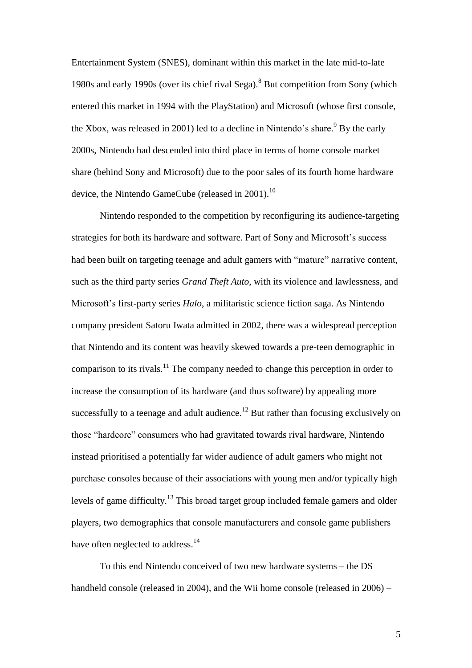Entertainment System (SNES), dominant within this market in the late mid-to-late 1980s and early 1990s (over its chief rival Sega).<sup>8</sup> But competition from Sony (which entered this market in 1994 with the PlayStation) and Microsoft (whose first console, the Xbox, was released in 2001) led to a decline in Nintendo's share. <sup>9</sup> By the early 2000s, Nintendo had descended into third place in terms of home console market share (behind Sony and Microsoft) due to the poor sales of its fourth home hardware device, the Nintendo GameCube (released in 2001).<sup>10</sup>

Nintendo responded to the competition by reconfiguring its audience-targeting strategies for both its hardware and software. Part of Sony and Microsoft's success had been built on targeting teenage and adult gamers with "mature" narrative content, such as the third party series *Grand Theft Auto*, with its violence and lawlessness, and Microsoft's first-party series *Halo*, a militaristic science fiction saga. As Nintendo company president Satoru Iwata admitted in 2002, there was a widespread perception that Nintendo and its content was heavily skewed towards a pre-teen demographic in comparison to its rivals.<sup>11</sup> The company needed to change this perception in order to increase the consumption of its hardware (and thus software) by appealing more successfully to a teenage and adult audience.<sup>12</sup> But rather than focusing exclusively on those "hardcore" consumers who had gravitated towards rival hardware, Nintendo instead prioritised a potentially far wider audience of adult gamers who might not purchase consoles because of their associations with young men and/or typically high levels of game difficulty.<sup>13</sup> This broad target group included female gamers and older players, two demographics that console manufacturers and console game publishers have often neglected to address.<sup>14</sup>

To this end Nintendo conceived of two new hardware systems – the DS handheld console (released in 2004), and the Wii home console (released in 2006) –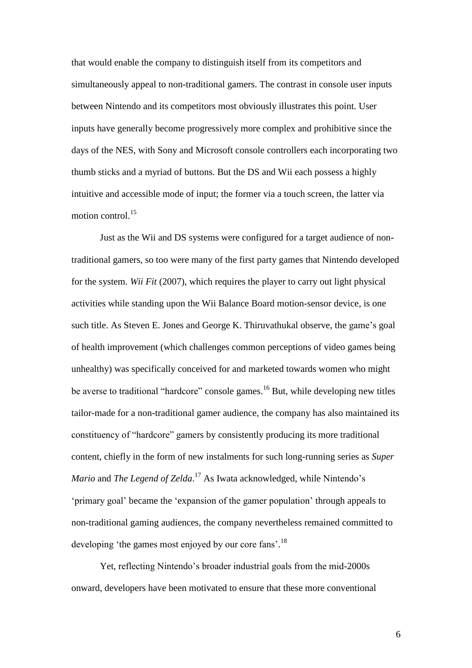that would enable the company to distinguish itself from its competitors and simultaneously appeal to non-traditional gamers. The contrast in console user inputs between Nintendo and its competitors most obviously illustrates this point. User inputs have generally become progressively more complex and prohibitive since the days of the NES, with Sony and Microsoft console controllers each incorporating two thumb sticks and a myriad of buttons. But the DS and Wii each possess a highly intuitive and accessible mode of input; the former via a touch screen, the latter via motion control.<sup>15</sup>

Just as the Wii and DS systems were configured for a target audience of nontraditional gamers, so too were many of the first party games that Nintendo developed for the system. *Wii Fit* (2007), which requires the player to carry out light physical activities while standing upon the Wii Balance Board motion-sensor device, is one such title. As Steven E. Jones and George K. Thiruvathukal observe, the game's goal of health improvement (which challenges common perceptions of video games being unhealthy) was specifically conceived for and marketed towards women who might be averse to traditional "hardcore" console games.<sup>16</sup> But, while developing new titles tailor-made for a non-traditional gamer audience, the company has also maintained its constituency of "hardcore" gamers by consistently producing its more traditional content, chiefly in the form of new instalments for such long-running series as *Super Mario* and *The Legend of Zelda*. <sup>17</sup> As Iwata acknowledged, while Nintendo's 'primary goal' became the 'expansion of the gamer population' through appeals to non-traditional gaming audiences, the company nevertheless remained committed to developing 'the games most enjoyed by our core fans'.<sup>18</sup>

Yet, reflecting Nintendo's broader industrial goals from the mid-2000s onward, developers have been motivated to ensure that these more conventional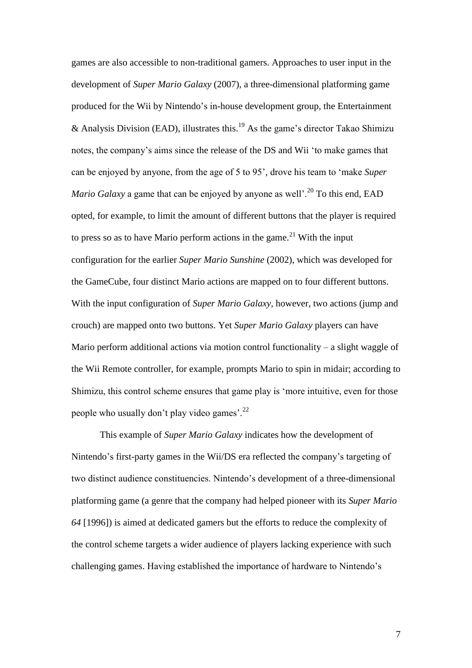games are also accessible to non-traditional gamers. Approaches to user input in the development of *Super Mario Galaxy* (2007), a three-dimensional platforming game produced for the Wii by Nintendo's in-house development group, the Entertainment & Analysis Division (EAD), illustrates this.<sup>19</sup> As the game's director Takao Shimizu notes, the company's aims since the release of the DS and Wii 'to make games that can be enjoyed by anyone, from the age of 5 to 95', drove his team to 'make *Super Mario Galaxy* a game that can be enjoyed by anyone as well'.<sup>20</sup> To this end. EAD opted, for example, to limit the amount of different buttons that the player is required to press so as to have Mario perform actions in the game.<sup>21</sup> With the input configuration for the earlier *Super Mario Sunshine* (2002), which was developed for the GameCube, four distinct Mario actions are mapped on to four different buttons. With the input configuration of *Super Mario Galaxy*, however, two actions (jump and crouch) are mapped onto two buttons. Yet *Super Mario Galaxy* players can have Mario perform additional actions via motion control functionality – a slight waggle of the Wii Remote controller, for example, prompts Mario to spin in midair; according to Shimizu, this control scheme ensures that game play is 'more intuitive, even for those people who usually don't play video games'.<sup>22</sup>

This example of *Super Mario Galaxy* indicates how the development of Nintendo's first-party games in the Wii/DS era reflected the company's targeting of two distinct audience constituencies. Nintendo's development of a three-dimensional platforming game (a genre that the company had helped pioneer with its *Super Mario 64* [1996]) is aimed at dedicated gamers but the efforts to reduce the complexity of the control scheme targets a wider audience of players lacking experience with such challenging games. Having established the importance of hardware to Nintendo's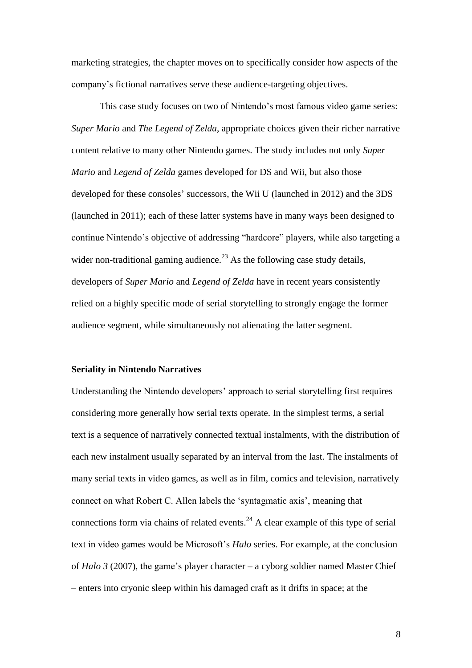marketing strategies, the chapter moves on to specifically consider how aspects of the company's fictional narratives serve these audience-targeting objectives.

This case study focuses on two of Nintendo's most famous video game series: *Super Mario* and *The Legend of Zelda*, appropriate choices given their richer narrative content relative to many other Nintendo games. The study includes not only *Super Mario* and *Legend of Zelda* games developed for DS and Wii, but also those developed for these consoles' successors, the Wii U (launched in 2012) and the 3DS (launched in 2011); each of these latter systems have in many ways been designed to continue Nintendo's objective of addressing "hardcore" players, while also targeting a wider non-traditional gaming audience.<sup>23</sup> As the following case study details, developers of *Super Mario* and *Legend of Zelda* have in recent years consistently relied on a highly specific mode of serial storytelling to strongly engage the former audience segment, while simultaneously not alienating the latter segment.

#### **Seriality in Nintendo Narratives**

Understanding the Nintendo developers' approach to serial storytelling first requires considering more generally how serial texts operate. In the simplest terms, a serial text is a sequence of narratively connected textual instalments, with the distribution of each new instalment usually separated by an interval from the last. The instalments of many serial texts in video games, as well as in film, comics and television, narratively connect on what Robert C. Allen labels the 'syntagmatic axis', meaning that connections form via chains of related events. $^{24}$  A clear example of this type of serial text in video games would be Microsoft's *Halo* series. For example, at the conclusion of *Halo 3* (2007), the game's player character – a cyborg soldier named Master Chief – enters into cryonic sleep within his damaged craft as it drifts in space; at the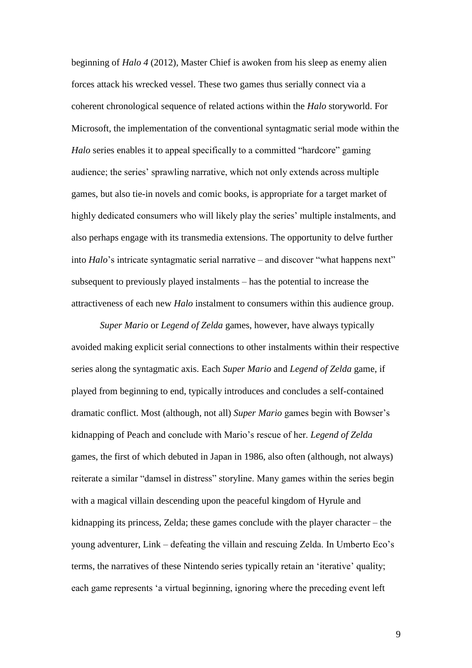beginning of *Halo 4* (2012), Master Chief is awoken from his sleep as enemy alien forces attack his wrecked vessel. These two games thus serially connect via a coherent chronological sequence of related actions within the *Halo* storyworld. For Microsoft, the implementation of the conventional syntagmatic serial mode within the *Halo* series enables it to appeal specifically to a committed "hardcore" gaming audience; the series' sprawling narrative, which not only extends across multiple games, but also tie-in novels and comic books, is appropriate for a target market of highly dedicated consumers who will likely play the series' multiple instalments, and also perhaps engage with its transmedia extensions. The opportunity to delve further into *Halo*'s intricate syntagmatic serial narrative – and discover "what happens next" subsequent to previously played instalments – has the potential to increase the attractiveness of each new *Halo* instalment to consumers within this audience group.

*Super Mario* or *Legend of Zelda* games, however, have always typically avoided making explicit serial connections to other instalments within their respective series along the syntagmatic axis. Each *Super Mario* and *Legend of Zelda* game, if played from beginning to end, typically introduces and concludes a self-contained dramatic conflict. Most (although, not all) *Super Mario* games begin with Bowser's kidnapping of Peach and conclude with Mario's rescue of her. *Legend of Zelda* games, the first of which debuted in Japan in 1986, also often (although, not always) reiterate a similar "damsel in distress" storyline. Many games within the series begin with a magical villain descending upon the peaceful kingdom of Hyrule and kidnapping its princess, Zelda; these games conclude with the player character – the young adventurer, Link – defeating the villain and rescuing Zelda. In Umberto Eco's terms, the narratives of these Nintendo series typically retain an 'iterative' quality; each game represents 'a virtual beginning, ignoring where the preceding event left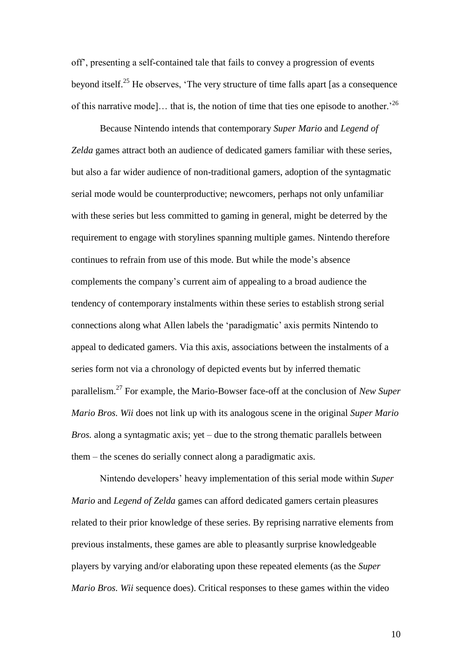off', presenting a self-contained tale that fails to convey a progression of events beyond itself.<sup>25</sup> He observes, 'The very structure of time falls apart [as a consequence of this narrative mode]... that is, the notion of time that ties one episode to another.<sup>26</sup>

Because Nintendo intends that contemporary *Super Mario* and *Legend of Zelda* games attract both an audience of dedicated gamers familiar with these series, but also a far wider audience of non-traditional gamers, adoption of the syntagmatic serial mode would be counterproductive; newcomers, perhaps not only unfamiliar with these series but less committed to gaming in general, might be deterred by the requirement to engage with storylines spanning multiple games. Nintendo therefore continues to refrain from use of this mode. But while the mode's absence complements the company's current aim of appealing to a broad audience the tendency of contemporary instalments within these series to establish strong serial connections along what Allen labels the 'paradigmatic' axis permits Nintendo to appeal to dedicated gamers. Via this axis, associations between the instalments of a series form not via a chronology of depicted events but by inferred thematic parallelism.<sup>27</sup> For example, the Mario-Bowser face-off at the conclusion of *New Super Mario Bros. Wii* does not link up with its analogous scene in the original *Super Mario Bros.* along a syntagmatic axis; yet – due to the strong thematic parallels between them – the scenes do serially connect along a paradigmatic axis.

Nintendo developers' heavy implementation of this serial mode within *Super Mario* and *Legend of Zelda* games can afford dedicated gamers certain pleasures related to their prior knowledge of these series. By reprising narrative elements from previous instalments, these games are able to pleasantly surprise knowledgeable players by varying and/or elaborating upon these repeated elements (as the *Super Mario Bros. Wii* sequence does). Critical responses to these games within the video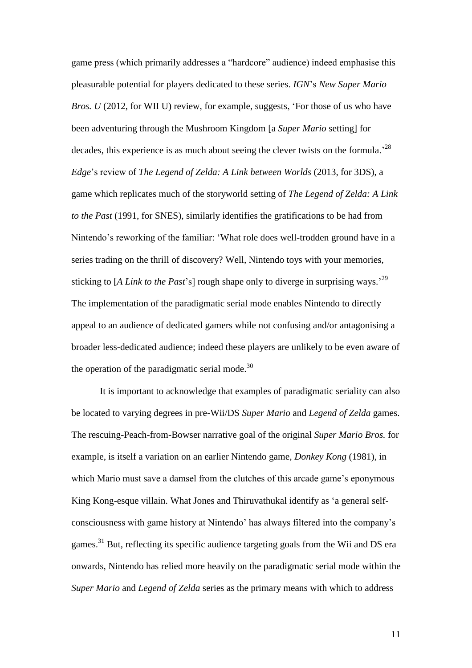game press (which primarily addresses a "hardcore" audience) indeed emphasise this pleasurable potential for players dedicated to these series. *IGN*'s *New Super Mario Bros. U* (2012, for WII U) review, for example, suggests, 'For those of us who have been adventuring through the Mushroom Kingdom [a *Super Mario* setting] for decades, this experience is as much about seeing the clever twists on the formula.<sup>28</sup> *Edge*'s review of *The Legend of Zelda: A Link between Worlds* (2013, for 3DS), a game which replicates much of the storyworld setting of *The Legend of Zelda: A Link to the Past* (1991, for SNES), similarly identifies the gratifications to be had from Nintendo's reworking of the familiar: 'What role does well-trodden ground have in a series trading on the thrill of discovery? Well, Nintendo toys with your memories, sticking to [*A Link to the Past*'s] rough shape only to diverge in surprising ways.' 29 The implementation of the paradigmatic serial mode enables Nintendo to directly appeal to an audience of dedicated gamers while not confusing and/or antagonising a broader less-dedicated audience; indeed these players are unlikely to be even aware of the operation of the paradigmatic serial mode.<sup>30</sup>

It is important to acknowledge that examples of paradigmatic seriality can also be located to varying degrees in pre-Wii/DS *Super Mario* and *Legend of Zelda* games. The rescuing-Peach-from-Bowser narrative goal of the original *Super Mario Bros.* for example, is itself a variation on an earlier Nintendo game, *Donkey Kong* (1981), in which Mario must save a damsel from the clutches of this arcade game's eponymous King Kong-esque villain. What Jones and Thiruvathukal identify as 'a general selfconsciousness with game history at Nintendo' has always filtered into the company's games.<sup>31</sup> But, reflecting its specific audience targeting goals from the Wii and DS era onwards, Nintendo has relied more heavily on the paradigmatic serial mode within the *Super Mario* and *Legend of Zelda* series as the primary means with which to address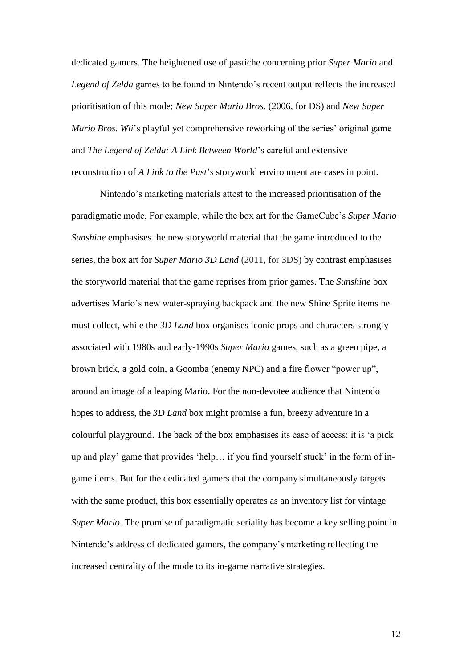dedicated gamers. The heightened use of pastiche concerning prior *Super Mario* and *Legend of Zelda* games to be found in Nintendo's recent output reflects the increased prioritisation of this mode; *New Super Mario Bros.* (2006, for DS) and *New Super Mario Bros. Wii*'s playful yet comprehensive reworking of the series' original game and *The Legend of Zelda: A Link Between World*'s careful and extensive reconstruction of *A Link to the Past*'s storyworld environment are cases in point.

Nintendo's marketing materials attest to the increased prioritisation of the paradigmatic mode. For example, while the box art for the GameCube's *Super Mario Sunshine* emphasises the new storyworld material that the game introduced to the series, the box art for *Super Mario 3D Land* (2011, for 3DS) by contrast emphasises the storyworld material that the game reprises from prior games. The *Sunshine* box advertises Mario's new water-spraying backpack and the new Shine Sprite items he must collect, while the *3D Land* box organises iconic props and characters strongly associated with 1980s and early-1990s *Super Mario* games, such as a green pipe, a brown brick, a gold coin, a Goomba (enemy NPC) and a fire flower "power up", around an image of a leaping Mario. For the non-devotee audience that Nintendo hopes to address, the *3D Land* box might promise a fun, breezy adventure in a colourful playground. The back of the box emphasises its ease of access: it is 'a pick up and play' game that provides 'help… if you find yourself stuck' in the form of ingame items. But for the dedicated gamers that the company simultaneously targets with the same product, this box essentially operates as an inventory list for vintage *Super Mario*. The promise of paradigmatic seriality has become a key selling point in Nintendo's address of dedicated gamers, the company's marketing reflecting the increased centrality of the mode to its in-game narrative strategies.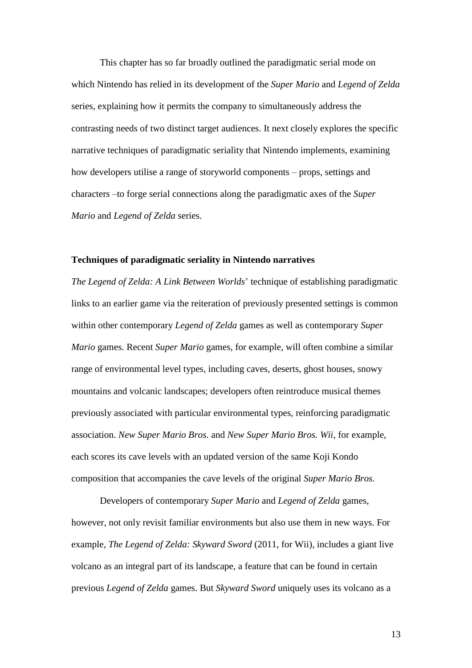This chapter has so far broadly outlined the paradigmatic serial mode on which Nintendo has relied in its development of the *Super Mario* and *Legend of Zelda* series, explaining how it permits the company to simultaneously address the contrasting needs of two distinct target audiences. It next closely explores the specific narrative techniques of paradigmatic seriality that Nintendo implements, examining how developers utilise a range of storyworld components – props, settings and characters –to forge serial connections along the paradigmatic axes of the *Super Mario* and *Legend of Zelda* series.

### **Techniques of paradigmatic seriality in Nintendo narratives**

*The Legend of Zelda: A Link Between Worlds*' technique of establishing paradigmatic links to an earlier game via the reiteration of previously presented settings is common within other contemporary *Legend of Zelda* games as well as contemporary *Super Mario* games. Recent *Super Mario* games, for example, will often combine a similar range of environmental level types, including caves, deserts, ghost houses, snowy mountains and volcanic landscapes; developers often reintroduce musical themes previously associated with particular environmental types, reinforcing paradigmatic association. *New Super Mario Bros.* and *New Super Mario Bros. Wii*, for example, each scores its cave levels with an updated version of the same Koji Kondo composition that accompanies the cave levels of the original *Super Mario Bros.*

Developers of contemporary *Super Mario* and *Legend of Zelda* games, however, not only revisit familiar environments but also use them in new ways. For example, *The Legend of Zelda: Skyward Sword* (2011, for Wii), includes a giant live volcano as an integral part of its landscape, a feature that can be found in certain previous *Legend of Zelda* games. But *Skyward Sword* uniquely uses its volcano as a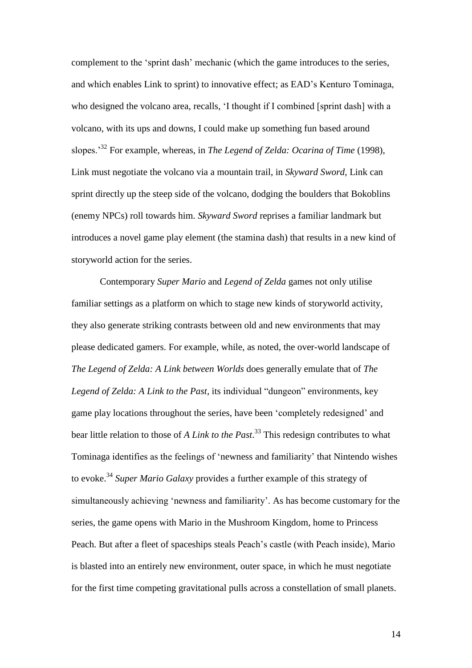complement to the 'sprint dash' mechanic (which the game introduces to the series, and which enables Link to sprint) to innovative effect; as EAD's Kenturo Tominaga, who designed the volcano area, recalls, 'I thought if I combined [sprint dash] with a volcano, with its ups and downs, I could make up something fun based around slopes.'<sup>32</sup> For example, whereas, in *The Legend of Zelda: Ocarina of Time* (1998), Link must negotiate the volcano via a mountain trail, in *Skyward Sword*, Link can sprint directly up the steep side of the volcano, dodging the boulders that Bokoblins (enemy NPCs) roll towards him. *Skyward Sword* reprises a familiar landmark but introduces a novel game play element (the stamina dash) that results in a new kind of storyworld action for the series.

Contemporary *Super Mario* and *Legend of Zelda* games not only utilise familiar settings as a platform on which to stage new kinds of storyworld activity, they also generate striking contrasts between old and new environments that may please dedicated gamers. For example, while, as noted, the over-world landscape of *The Legend of Zelda: A Link between Worlds* does generally emulate that of *The Legend of Zelda: A Link to the Past*, its individual "dungeon" environments, key game play locations throughout the series, have been 'completely redesigned' and bear little relation to those of *A Link to the Past*. <sup>33</sup> This redesign contributes to what Tominaga identifies as the feelings of 'newness and familiarity' that Nintendo wishes to evoke.<sup>34</sup> *Super Mario Galaxy* provides a further example of this strategy of simultaneously achieving 'newness and familiarity'. As has become customary for the series, the game opens with Mario in the Mushroom Kingdom, home to Princess Peach. But after a fleet of spaceships steals Peach's castle (with Peach inside), Mario is blasted into an entirely new environment, outer space, in which he must negotiate for the first time competing gravitational pulls across a constellation of small planets.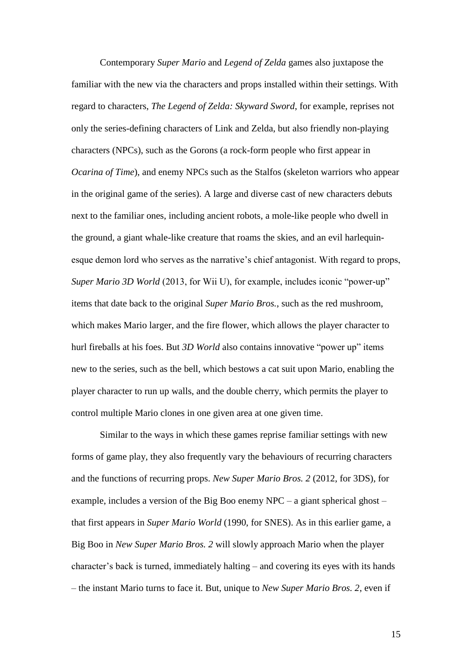Contemporary *Super Mario* and *Legend of Zelda* games also juxtapose the familiar with the new via the characters and props installed within their settings. With regard to characters, *The Legend of Zelda: Skyward Sword*, for example, reprises not only the series-defining characters of Link and Zelda, but also friendly non-playing characters (NPCs), such as the Gorons (a rock-form people who first appear in *Ocarina of Time*), and enemy NPCs such as the Stalfos (skeleton warriors who appear in the original game of the series). A large and diverse cast of new characters debuts next to the familiar ones, including ancient robots, a mole-like people who dwell in the ground, a giant whale-like creature that roams the skies, and an evil harlequinesque demon lord who serves as the narrative's chief antagonist. With regard to props, *Super Mario 3D World* (2013, for Wii U), for example, includes iconic "power-up" items that date back to the original *Super Mario Bros.*, such as the red mushroom, which makes Mario larger, and the fire flower, which allows the player character to hurl fireballs at his foes. But *3D World* also contains innovative "power up" items new to the series, such as the bell, which bestows a cat suit upon Mario, enabling the player character to run up walls, and the double cherry, which permits the player to control multiple Mario clones in one given area at one given time.

Similar to the ways in which these games reprise familiar settings with new forms of game play, they also frequently vary the behaviours of recurring characters and the functions of recurring props. *New Super Mario Bros. 2* (2012, for 3DS), for example, includes a version of the Big Boo enemy NPC – a giant spherical ghost – that first appears in *Super Mario World* (1990, for SNES). As in this earlier game, a Big Boo in *New Super Mario Bros. 2* will slowly approach Mario when the player character's back is turned, immediately halting – and covering its eyes with its hands – the instant Mario turns to face it. But, unique to *New Super Mario Bros. 2*, even if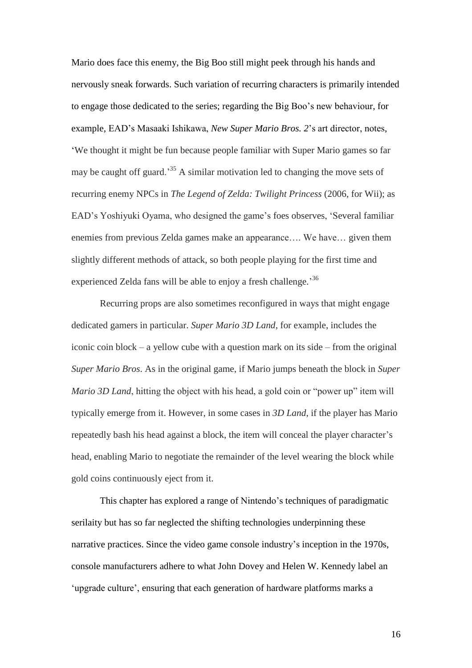Mario does face this enemy, the Big Boo still might peek through his hands and nervously sneak forwards. Such variation of recurring characters is primarily intended to engage those dedicated to the series; regarding the Big Boo's new behaviour, for example, EAD's Masaaki Ishikawa, *New Super Mario Bros. 2*'s art director, notes, 'We thought it might be fun because people familiar with Super Mario games so far may be caught off guard.<sup>35</sup> A similar motivation led to changing the move sets of recurring enemy NPCs in *The Legend of Zelda: Twilight Princess* (2006, for Wii); as EAD's Yoshiyuki Oyama, who designed the game's foes observes, 'Several familiar enemies from previous Zelda games make an appearance…. We have… given them slightly different methods of attack, so both people playing for the first time and experienced Zelda fans will be able to enjoy a fresh challenge.'36

Recurring props are also sometimes reconfigured in ways that might engage dedicated gamers in particular. *Super Mario 3D Land*, for example, includes the iconic coin block – a yellow cube with a question mark on its side – from the original *Super Mario Bros*. As in the original game, if Mario jumps beneath the block in *Super Mario 3D Land*, hitting the object with his head, a gold coin or "power up" item will typically emerge from it. However, in some cases in *3D Land*, if the player has Mario repeatedly bash his head against a block, the item will conceal the player character's head, enabling Mario to negotiate the remainder of the level wearing the block while gold coins continuously eject from it.

This chapter has explored a range of Nintendo's techniques of paradigmatic serilaity but has so far neglected the shifting technologies underpinning these narrative practices. Since the video game console industry's inception in the 1970s, console manufacturers adhere to what John Dovey and Helen W. Kennedy label an 'upgrade culture', ensuring that each generation of hardware platforms marks a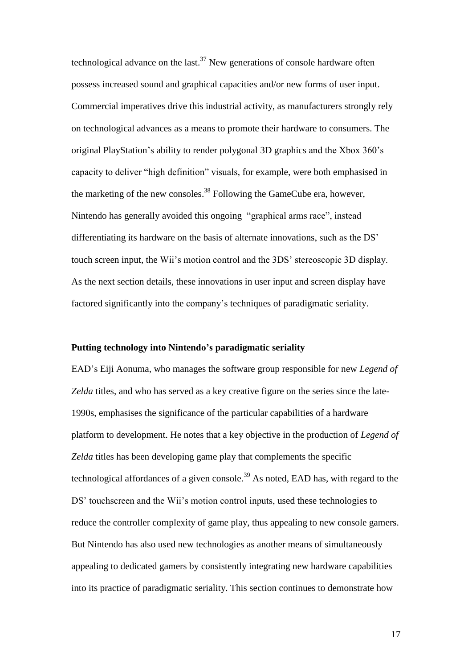technological advance on the last.<sup>37</sup> New generations of console hardware often possess increased sound and graphical capacities and/or new forms of user input. Commercial imperatives drive this industrial activity, as manufacturers strongly rely on technological advances as a means to promote their hardware to consumers. The original PlayStation's ability to render polygonal 3D graphics and the Xbox 360's capacity to deliver "high definition" visuals, for example, were both emphasised in the marketing of the new consoles.<sup>38</sup> Following the GameCube era, however, Nintendo has generally avoided this ongoing "graphical arms race", instead differentiating its hardware on the basis of alternate innovations, such as the DS' touch screen input, the Wii's motion control and the 3DS' stereoscopic 3D display. As the next section details, these innovations in user input and screen display have factored significantly into the company's techniques of paradigmatic seriality.

# **Putting technology into Nintendo's paradigmatic seriality**

EAD's Eiji Aonuma, who manages the software group responsible for new *Legend of Zelda* titles, and who has served as a key creative figure on the series since the late-1990s, emphasises the significance of the particular capabilities of a hardware platform to development. He notes that a key objective in the production of *Legend of Zelda* titles has been developing game play that complements the specific technological affordances of a given console.<sup>39</sup> As noted, EAD has, with regard to the DS' touchscreen and the Wii's motion control inputs, used these technologies to reduce the controller complexity of game play, thus appealing to new console gamers. But Nintendo has also used new technologies as another means of simultaneously appealing to dedicated gamers by consistently integrating new hardware capabilities into its practice of paradigmatic seriality. This section continues to demonstrate how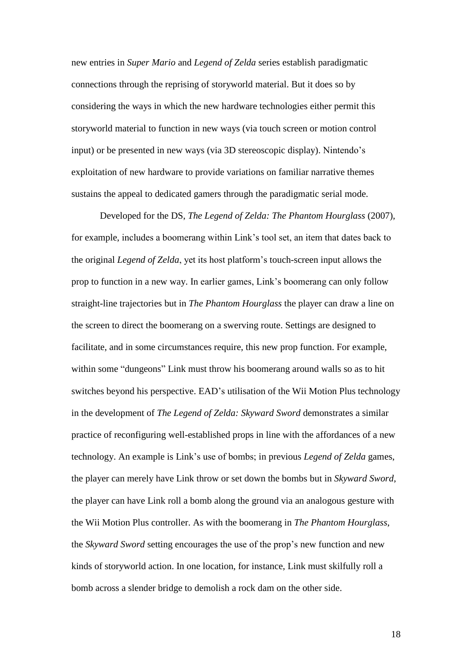new entries in *Super Mario* and *Legend of Zelda* series establish paradigmatic connections through the reprising of storyworld material. But it does so by considering the ways in which the new hardware technologies either permit this storyworld material to function in new ways (via touch screen or motion control input) or be presented in new ways (via 3D stereoscopic display). Nintendo's exploitation of new hardware to provide variations on familiar narrative themes sustains the appeal to dedicated gamers through the paradigmatic serial mode.

Developed for the DS, *The Legend of Zelda: The Phantom Hourglass* (2007), for example, includes a boomerang within Link's tool set, an item that dates back to the original *Legend of Zelda*, yet its host platform's touch-screen input allows the prop to function in a new way. In earlier games, Link's boomerang can only follow straight-line trajectories but in *The Phantom Hourglass* the player can draw a line on the screen to direct the boomerang on a swerving route. Settings are designed to facilitate, and in some circumstances require, this new prop function. For example, within some "dungeons" Link must throw his boomerang around walls so as to hit switches beyond his perspective. EAD's utilisation of the Wii Motion Plus technology in the development of *The Legend of Zelda: Skyward Sword* demonstrates a similar practice of reconfiguring well-established props in line with the affordances of a new technology. An example is Link's use of bombs; in previous *Legend of Zelda* games, the player can merely have Link throw or set down the bombs but in *Skyward Sword*, the player can have Link roll a bomb along the ground via an analogous gesture with the Wii Motion Plus controller. As with the boomerang in *The Phantom Hourglass*, the *Skyward Sword* setting encourages the use of the prop's new function and new kinds of storyworld action. In one location, for instance, Link must skilfully roll a bomb across a slender bridge to demolish a rock dam on the other side.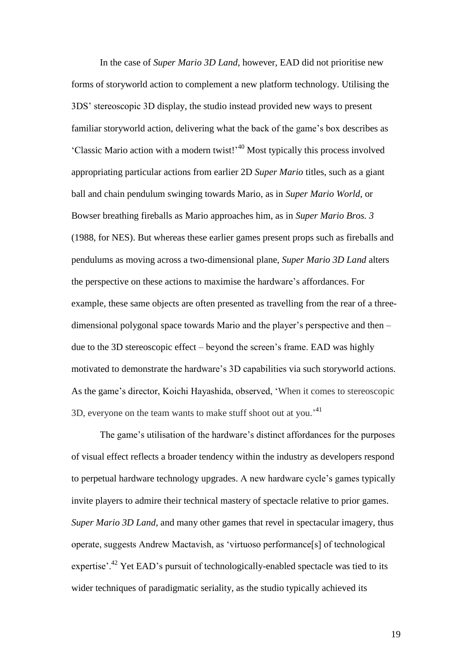In the case of *Super Mario 3D Land*, however, EAD did not prioritise new forms of storyworld action to complement a new platform technology. Utilising the 3DS' stereoscopic 3D display, the studio instead provided new ways to present familiar storyworld action, delivering what the back of the game's box describes as 'Classic Mario action with a modern twist!' <sup>40</sup> Most typically this process involved appropriating particular actions from earlier 2D *Super Mario* titles, such as a giant ball and chain pendulum swinging towards Mario, as in *Super Mario World*, or Bowser breathing fireballs as Mario approaches him, as in *Super Mario Bros. 3* (1988, for NES). But whereas these earlier games present props such as fireballs and pendulums as moving across a two-dimensional plane, *Super Mario 3D Land* alters the perspective on these actions to maximise the hardware's affordances. For example, these same objects are often presented as travelling from the rear of a threedimensional polygonal space towards Mario and the player's perspective and then – due to the 3D stereoscopic effect – beyond the screen's frame. EAD was highly motivated to demonstrate the hardware's 3D capabilities via such storyworld actions. As the game's director, Koichi Hayashida, observed, 'When it comes to stereoscopic 3D, everyone on the team wants to make stuff shoot out at you.<sup>341</sup>

The game's utilisation of the hardware's distinct affordances for the purposes of visual effect reflects a broader tendency within the industry as developers respond to perpetual hardware technology upgrades. A new hardware cycle's games typically invite players to admire their technical mastery of spectacle relative to prior games. *Super Mario 3D Land*, and many other games that revel in spectacular imagery, thus operate, suggests Andrew Mactavish, as 'virtuoso performance[s] of technological expertise'.<sup>42</sup> Yet EAD's pursuit of technologically-enabled spectacle was tied to its wider techniques of paradigmatic seriality, as the studio typically achieved its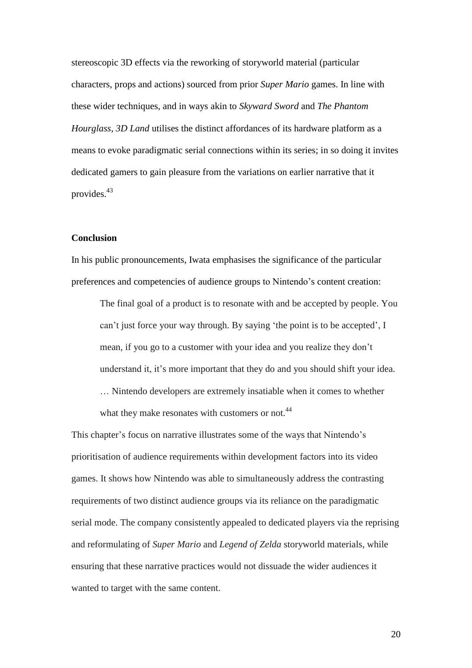stereoscopic 3D effects via the reworking of storyworld material (particular characters, props and actions) sourced from prior *Super Mario* games. In line with these wider techniques, and in ways akin to *Skyward Sword* and *The Phantom Hourglass*, *3D Land* utilises the distinct affordances of its hardware platform as a means to evoke paradigmatic serial connections within its series; in so doing it invites dedicated gamers to gain pleasure from the variations on earlier narrative that it provides.<sup>43</sup>

# **Conclusion**

In his public pronouncements, Iwata emphasises the significance of the particular preferences and competencies of audience groups to Nintendo's content creation:

The final goal of a product is to resonate with and be accepted by people. You can't just force your way through. By saying 'the point is to be accepted', I mean, if you go to a customer with your idea and you realize they don't understand it, it's more important that they do and you should shift your idea. … Nintendo developers are extremely insatiable when it comes to whether

what they make resonates with customers or not.<sup>44</sup>

This chapter's focus on narrative illustrates some of the ways that Nintendo's prioritisation of audience requirements within development factors into its video games. It shows how Nintendo was able to simultaneously address the contrasting requirements of two distinct audience groups via its reliance on the paradigmatic serial mode. The company consistently appealed to dedicated players via the reprising and reformulating of *Super Mario* and *Legend of Zelda* storyworld materials, while ensuring that these narrative practices would not dissuade the wider audiences it wanted to target with the same content.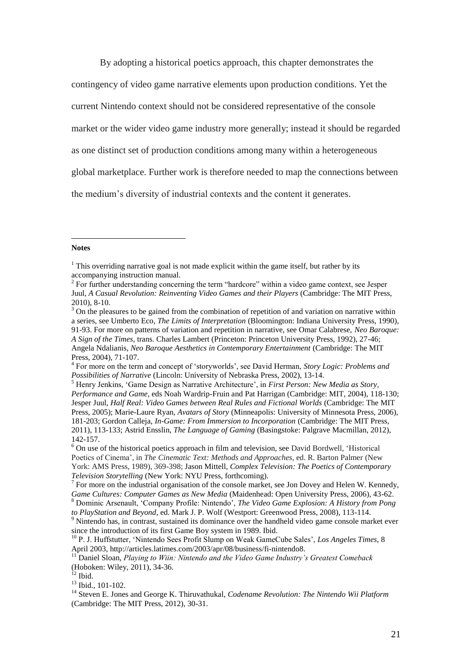By adopting a historical poetics approach, this chapter demonstrates the contingency of video game narrative elements upon production conditions. Yet the current Nintendo context should not be considered representative of the console market or the wider video game industry more generally; instead it should be regarded as one distinct set of production conditions among many within a heterogeneous global marketplace. Further work is therefore needed to map the connections between the medium's diversity of industrial contexts and the content it generates.

#### **Notes**

 $\overline{a}$ 

 $1$  This overriding narrative goal is not made explicit within the game itself, but rather by its accompanying instruction manual.

 $2^{2}$  For further understanding concerning the term "hardcore" within a video game context, see Jesper Juul, *A Casual Revolution: Reinventing Video Games and their Players* (Cambridge: The MIT Press, 2010), 8-10.

<sup>&</sup>lt;sup>3</sup> On the pleasures to be gained from the combination of repetition of and variation on narrative within a series, see Umberto Eco, *The Limits of Interpretation* (Bloomington: Indiana University Press, 1990), 91-93. For more on patterns of variation and repetition in narrative, see Omar Calabrese, *Neo Baroque: A Sign of the Times*, trans. Charles Lambert (Princeton: Princeton University Press, 1992), 27-46; Angela Ndalianis, *Neo Baroque Aesthetics in Contemporary Entertainment* (Cambridge: The MIT Press, 2004), 71-107.

<sup>4</sup> For more on the term and concept of 'storyworlds', see David Herman, *Story Logic: Problems and Possibilities of Narrative* (Lincoln: University of Nebraska Press, 2002), 13-14.

<sup>5</sup> Henry Jenkins, 'Game Design as Narrative Architecture', in *First Person: New Media as Story, Performance and Game*, eds Noah Wardrip-Fruin and Pat Harrigan (Cambridge: MIT, 2004), 118-130; Jesper Juul, *Half Real: Video Games between Real Rules and Fictional Worlds* (Cambridge: The MIT Press, 2005); Marie-Laure Ryan, *Avatars of Story* (Minneapolis: University of Minnesota Press, 2006), 181-203; Gordon Calleja, *In-Game: From Immersion to Incorporation* (Cambridge: The MIT Press, 2011), 113-133; Astrid Ensslin, *The Language of Gaming* (Basingstoke: Palgrave Macmillan, 2012), 142-157.

<sup>&</sup>lt;sup>6</sup> On use of the historical poetics approach in film and television, see David Bordwell, 'Historical Poetics of Cinema', in *The Cinematic Text: Methods and Approaches*, ed. R. Barton Palmer (New York: AMS Press, 1989), 369-398; Jason Mittell, *Complex Television: The Poetics of Contemporary Television Storytelling* (New York: NYU Press, forthcoming).

 $7$  For more on the industrial organisation of the console market, see Jon Dovey and Helen W. Kennedy, *Game Cultures: Computer Games as New Media* (Maidenhead: Open University Press, 2006), 43-62. <sup>8</sup> Dominic Arsenault, 'Company Profile: Nintendo', *The Video Game Explosion: A History from Pong* 

*to PlayStation and Beyond*, ed. Mark J. P. Wolf (Westport: Greenwood Press, 2008), 113-114.  $9$  Nintendo has, in contrast, sustained its dominance over the handheld video game console market ever

since the introduction of its first Game Boy system in 1989. Ibid.

<sup>10</sup> P. J. Huffstutter, 'Nintendo Sees Profit Slump on Weak GameCube Sales', *Los Angeles Times*, 8 April 2003, http://articles.latimes.com/2003/apr/08/business/fi-nintendo8.

<sup>11</sup> Daniel Sloan, *Playing to Wiin: Nintendo and the Video Game Industry's Greatest Comeback* (Hoboken: Wiley, 2011), 34-36.

 $12$  Ibid.

<sup>13</sup> Ibid., 101-102.

<sup>14</sup> Steven E. Jones and George K. Thiruvathukal, *Codename Revolution: The Nintendo Wii Platform* (Cambridge: The MIT Press, 2012), 30-31.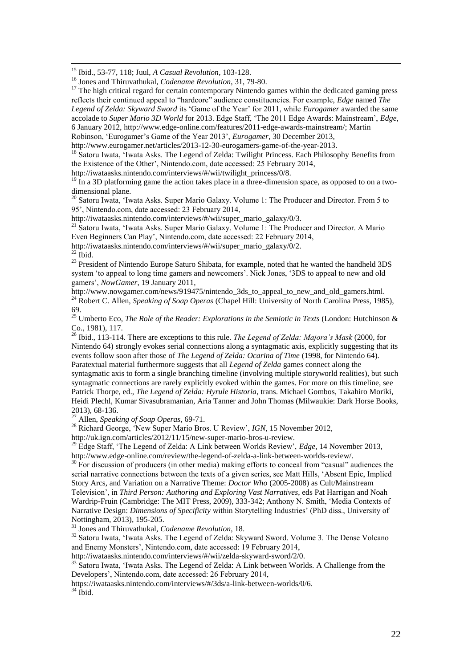$\overline{a}$ <sup>15</sup> Ibid., 53-77, 118; Juul, *A Casual Revolution*, 103-128.

<sup>16</sup> Jones and Thiruvathukal, *Codename Revolution*, 31, 79-80.

 $17$  The high critical regard for certain contemporary Nintendo games within the dedicated gaming press reflects their continued appeal to "hardcore" audience constituencies. For example, *Edge* named *The Legend of Zelda: Skyward Sword* its 'Game of the Year' for 2011, while *Eurogamer* awarded the same accolade to *Super Mario 3D World* for 2013. Edge Staff, 'The 2011 Edge Awards: Mainstream', *Edge*, 6 January 2012, http://www.edge-online.com/features/2011-edge-awards-mainstream/; Martin

Robinson, 'Eurogamer's Game of the Year 2013', *Eurogamer*, 30 December 2013,

http://www.eurogamer.net/articles/2013-12-30-eurogamers-game-of-the-year-2013.

<sup>18</sup> Satoru Iwata, 'Iwata Asks. The Legend of Zelda: Twilight Princess. Each Philosophy Benefits from the Existence of the Other', Nintendo.com, date accessed: 25 February 2014,

http://iwataasks.nintendo.com/interviews/#/wii/twilight\_princess/0/8.

 $19 \text{ In a 3D platforming game the action takes place in a three-dimension space, as opposed to on a two$ dimensional plane.

<sup>20</sup> Satoru Iwata, 'Iwata Asks. Super Mario Galaxy. Volume 1: The Producer and Director. From 5 to 95', Nintendo.com, date accessed: 23 February 2014,

http://iwataasks.nintendo.com/interviews/#/wii/super\_mario\_galaxy/0/3.

<sup>21</sup> Satoru Iwata, 'Iwata Asks. Super Mario Galaxy. Volume 1: The Producer and Director. A Mario Even Beginners Can Play', Nintendo.com, date accessed: 22 February 2014,

http://iwataasks.nintendo.com/interviews/#/wii/super\_mario\_galaxy/0/2.

 $22$  Ibid.

<sup>23</sup> President of Nintendo Europe Saturo Shibata, for example, noted that he wanted the handheld 3DS system 'to appeal to long time gamers and newcomers'. Nick Jones, '3DS to appeal to new and old gamers', *NowGamer*, 19 January 2011,

http://www.nowgamer.com/news/919475/nintendo\_3ds\_to\_appeal\_to\_new\_and\_old\_gamers.html. <sup>24</sup> Robert C. Allen, *Speaking of Soap Operas* (Chapel Hill: University of North Carolina Press, 1985), 69.

<sup>25</sup> Umberto Eco, *The Role of the Reader: Explorations in the Semiotic in Texts* (London: Hutchinson & Co., 1981), 117. <sup>26</sup> Ibid., 113-114. There are exceptions to this rule. *The Legend of Zelda: Majora's Mask* (2000, for

Nintendo 64) strongly evokes serial connections along a syntagmatic axis, explicitly suggesting that its events follow soon after those of *The Legend of Zelda: Ocarina of Time* (1998, for Nintendo 64). Paratextual material furthermore suggests that all *Legend of Zelda* games connect along the syntagmatic axis to form a single branching timeline (involving multiple storyworld realities), but such syntagmatic connections are rarely explicitly evoked within the games. For more on this timeline, see Patrick Thorpe, ed., *The Legend of Zelda: Hyrule Historia*, trans. Michael Gombos, Takahiro Moriki, Heidi Plechl, Kumar Sivasubramanian, Aria Tanner and John Thomas (Milwaukie: Dark Horse Books, 2013), 68-136.

<sup>27</sup> Allen, *Speaking of Soap Operas*, 69-71.

<sup>28</sup> Richard George, 'New Super Mario Bros. U Review', *IGN*, 15 November 2012,

http://uk.ign.com/articles/2012/11/15/new-super-mario-bros-u-review.

<sup>29</sup> Edge Staff, 'The Legend of Zelda: A Link between Worlds Review', *Edge*, 14 November 2013, http://www.edge-online.com/review/the-legend-of-zelda-a-link-between-worlds-review/.

 $30$  For discussion of producers (in other media) making efforts to conceal from "casual" audiences the serial narrative connections between the texts of a given series, see Matt Hills, 'Absent Epic, Implied Story Arcs, and Variation on a Narrative Theme: *Doctor Who* (2005-2008) as Cult/Mainstream Television', in *Third Person: Authoring and Exploring Vast Narratives*, eds Pat Harrigan and Noah Wardrip-Fruin (Cambridge: The MIT Press, 2009), 333-342; Anthony N. Smith, 'Media Contexts of Narrative Design: *Dimensions of Specificity* within Storytelling Industries' (PhD diss., University of Nottingham, 2013), 195-205.

<sup>31</sup> Jones and Thiruvathukal, *Codename Revolution*, 18.

<sup>32</sup> Satoru Iwata, 'Iwata Asks. The Legend of Zelda: Skyward Sword. Volume 3. The Dense Volcano and Enemy Monsters', Nintendo.com, date accessed: 19 February 2014,

http://iwataasks.nintendo.com/interviews/#/wii/zelda-skyward-sword/2/0.

<sup>33</sup> Satoru Iwata, 'Iwata Asks. The Legend of Zelda: A Link between Worlds. A Challenge from the Developers', Nintendo.com, date accessed: 26 February 2014,

https://iwataasks.nintendo.com/interviews/#/3ds/a-link-between-worlds/0/6.

 $^{34}$  Ibid.